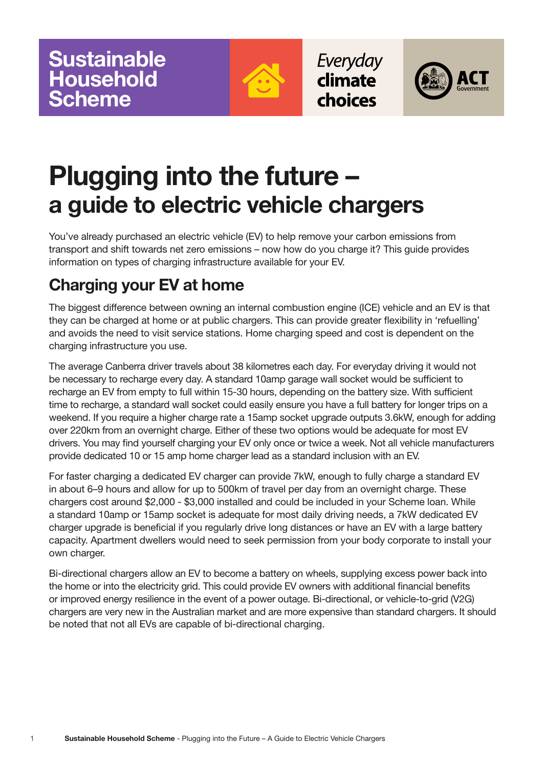

Everyday climate choices



# **Plugging into the future – a guide to electric vehicle chargers**

You've already purchased an electric vehicle (EV) to help remove your carbon emissions from transport and shift towards net zero emissions – now how do you charge it? This guide provides information on types of charging infrastructure available for your EV.

## **Charging your EV at home**

The biggest difference between owning an internal combustion engine (ICE) vehicle and an EV is that they can be charged at home or at public chargers. This can provide greater flexibility in 'refuelling' and avoids the need to visit service stations. Home charging speed and cost is dependent on the charging infrastructure you use.

The average Canberra driver travels about 38 kilometres each day. For everyday driving it would not be necessary to recharge every day. A standard 10amp garage wall socket would be sufficient to recharge an EV from empty to full within 15-30 hours, depending on the battery size. With sufficient time to recharge, a standard wall socket could easily ensure you have a full battery for longer trips on a weekend. If you require a higher charge rate a 15amp socket upgrade outputs 3.6kW, enough for adding over 220km from an overnight charge. Either of these two options would be adequate for most EV drivers. You may find yourself charging your EV only once or twice a week. Not all vehicle manufacturers provide dedicated 10 or 15 amp home charger lead as a standard inclusion with an EV.

For faster charging a dedicated EV charger can provide 7kW, enough to fully charge a standard EV in about 6–9 hours and allow for up to 500km of travel per day from an overnight charge. These chargers cost around \$2,000 - \$3,000 installed and could be included in your Scheme loan. While a standard 10amp or 15amp socket is adequate for most daily driving needs, a 7kW dedicated EV charger upgrade is beneficial if you regularly drive long distances or have an EV with a large battery capacity. Apartment dwellers would need to seek permission from your body corporate to install your own charger.

Bi-directional chargers allow an EV to become a battery on wheels, supplying excess power back into the home or into the electricity grid. This could provide EV owners with additional financial benefits or improved energy resilience in the event of a power outage. Bi-directional, or vehicle-to-grid (V2G) chargers are very new in the Australian market and are more expensive than standard chargers. It should be noted that not all EVs are capable of bi-directional charging.